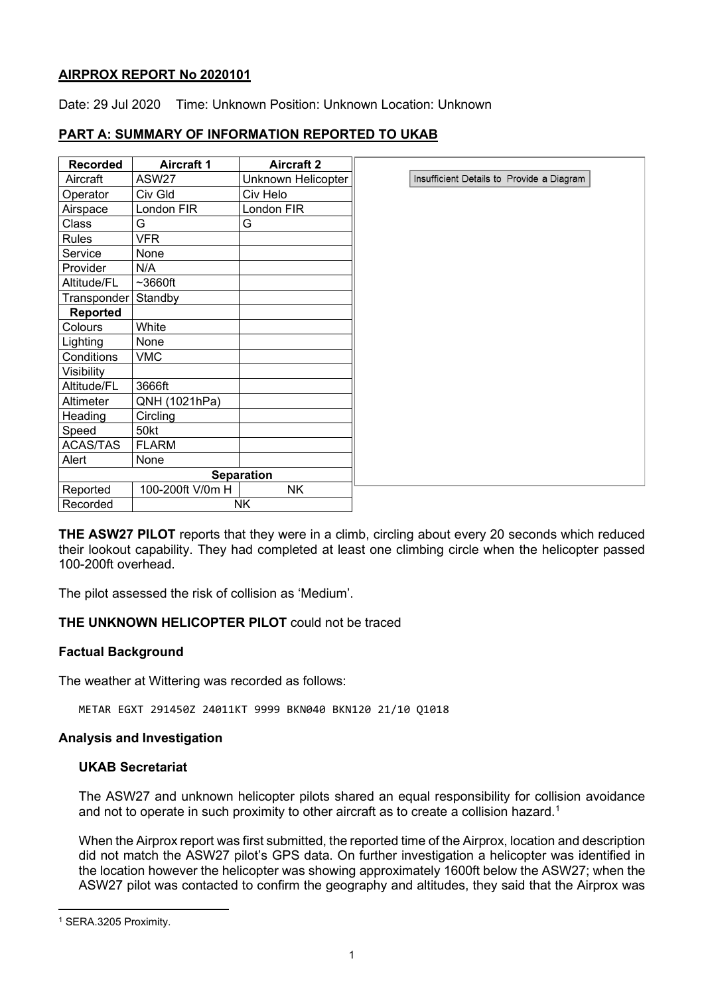### **AIRPROX REPORT No 2020101**

Date: 29 Jul 2020 Time: Unknown Position: Unknown Location: Unknown

## **PART A: SUMMARY OF INFORMATION REPORTED TO UKAB**

| <b>Recorded</b>   | <b>Aircraft 1</b> | <b>Aircraft 2</b>  |  |
|-------------------|-------------------|--------------------|--|
| Aircraft          | <b>ASW27</b>      | Unknown Helicopter |  |
| Operator          | Civ Gld           | Civ Helo           |  |
| Airspace          | London FIR        | London FIR         |  |
| Class             | G                 | G                  |  |
| <b>Rules</b>      | <b>VFR</b>        |                    |  |
| Service           | None              |                    |  |
| Provider          | N/A               |                    |  |
| Altitude/FL       | $~1$ -3660ft      |                    |  |
| Transponder       | Standby           |                    |  |
| <b>Reported</b>   |                   |                    |  |
| Colours           | White             |                    |  |
| Lighting          | None              |                    |  |
| Conditions        | <b>VMC</b>        |                    |  |
| Visibility        |                   |                    |  |
| Altitude/FL       | 3666ft            |                    |  |
| Altimeter         | QNH (1021hPa)     |                    |  |
| Heading           | Circling          |                    |  |
| Speed             | 50kt              |                    |  |
| <b>ACAS/TAS</b>   | <b>FLARM</b>      |                    |  |
| Alert             | None              |                    |  |
| <b>Separation</b> |                   |                    |  |
| Reported          | 100-200ft V/0m H  | <b>NK</b>          |  |
| Recorded          | NΚ                |                    |  |

**THE ASW27 PILOT** reports that they were in a climb, circling about every 20 seconds which reduced their lookout capability. They had completed at least one climbing circle when the helicopter passed 100-200ft overhead.

The pilot assessed the risk of collision as 'Medium'.

#### **THE UNKNOWN HELICOPTER PILOT** could not be traced

#### **Factual Background**

The weather at Wittering was recorded as follows:

METAR EGXT 291450Z 24011KT 9999 BKN040 BKN120 21/10 Q1018

#### **Analysis and Investigation**

#### **UKAB Secretariat**

The ASW27 and unknown helicopter pilots shared an equal responsibility for collision avoidance and not to operate in such proximity to other aircraft as to create a collision hazard. [1](#page-0-0)

When the Airprox report was first submitted, the reported time of the Airprox, location and description did not match the ASW27 pilot's GPS data. On further investigation a helicopter was identified in the location however the helicopter was showing approximately 1600ft below the ASW27; when the ASW27 pilot was contacted to confirm the geography and altitudes, they said that the Airprox was

<span id="page-0-0"></span><sup>1</sup> SERA.3205 Proximity.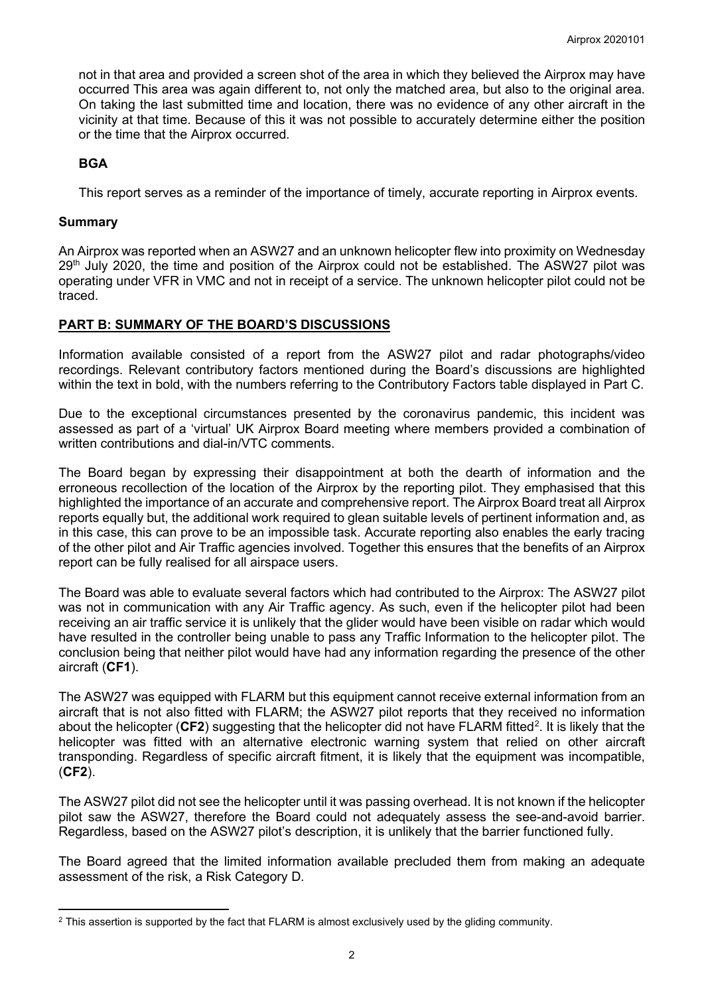not in that area and provided a screen shot of the area in which they believed the Airprox may have occurred This area was again different to, not only the matched area, but also to the original area. On taking the last submitted time and location, there was no evidence of any other aircraft in the vicinity at that time. Because of this it was not possible to accurately determine either the position or the time that the Airprox occurred.

### **BGA**

This report serves as a reminder of the importance of timely, accurate reporting in Airprox events.

#### **Summary**

An Airprox was reported when an ASW27 and an unknown helicopter flew into proximity on Wednesday 29<sup>th</sup> July 2020, the time and position of the Airprox could not be established. The ASW27 pilot was operating under VFR in VMC and not in receipt of a service. The unknown helicopter pilot could not be traced.

#### **PART B: SUMMARY OF THE BOARD'S DISCUSSIONS**

Information available consisted of a report from the ASW27 pilot and radar photographs/video recordings. Relevant contributory factors mentioned during the Board's discussions are highlighted within the text in bold, with the numbers referring to the Contributory Factors table displayed in Part C.

Due to the exceptional circumstances presented by the coronavirus pandemic, this incident was assessed as part of a 'virtual' UK Airprox Board meeting where members provided a combination of written contributions and dial-in/VTC comments.

The Board began by expressing their disappointment at both the dearth of information and the erroneous recollection of the location of the Airprox by the reporting pilot. They emphasised that this highlighted the importance of an accurate and comprehensive report. The Airprox Board treat all Airprox reports equally but, the additional work required to glean suitable levels of pertinent information and, as in this case, this can prove to be an impossible task. Accurate reporting also enables the early tracing of the other pilot and Air Traffic agencies involved. Together this ensures that the benefits of an Airprox report can be fully realised for all airspace users.

The Board was able to evaluate several factors which had contributed to the Airprox: The ASW27 pilot was not in communication with any Air Traffic agency. As such, even if the helicopter pilot had been receiving an air traffic service it is unlikely that the glider would have been visible on radar which would have resulted in the controller being unable to pass any Traffic Information to the helicopter pilot. The conclusion being that neither pilot would have had any information regarding the presence of the other aircraft (**CF1**).

The ASW27 was equipped with FLARM but this equipment cannot receive external information from an aircraft that is not also fitted with FLARM; the ASW27 pilot reports that they received no information about the helicopter (**CF[2](#page-1-0)**) suggesting that the helicopter did not have FLARM fitted<sup>2</sup>. It is likely that the helicopter was fitted with an alternative electronic warning system that relied on other aircraft transponding. Regardless of specific aircraft fitment, it is likely that the equipment was incompatible, (**CF2**).

The ASW27 pilot did not see the helicopter until it was passing overhead. It is not known if the helicopter pilot saw the ASW27, therefore the Board could not adequately assess the see-and-avoid barrier. Regardless, based on the ASW27 pilot's description, it is unlikely that the barrier functioned fully.

The Board agreed that the limited information available precluded them from making an adequate assessment of the risk, a Risk Category D.

<span id="page-1-0"></span><sup>&</sup>lt;sup>2</sup> This assertion is supported by the fact that FLARM is almost exclusively used by the gliding community.